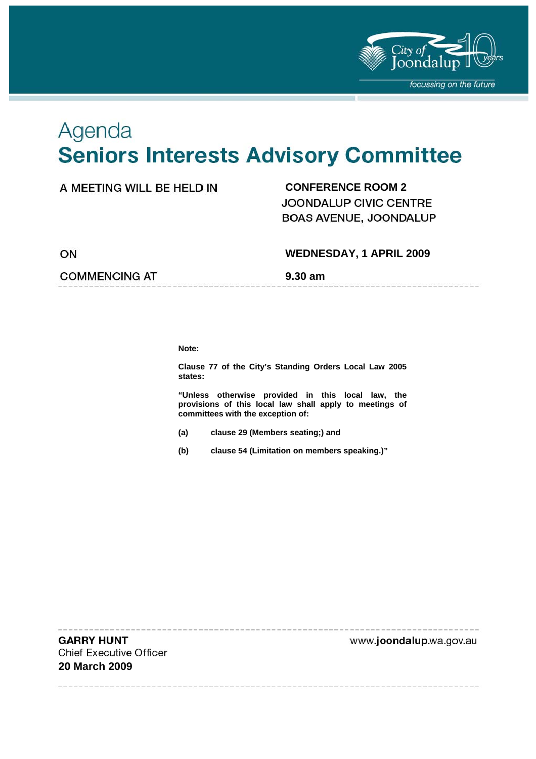

# Agenda **Seniors Interests Advisory Committee**

# A MEETING WILL BE HELD IN **CONFERENCE ROOM 2**

JOONDALUP CIVIC CENTRE BOAS AVENUE, JOONDALUP

ON

# **WEDNESDAY, 1 APRIL 2009**

**COMMENCING AT 5.30 am** 

**Note:** 

**Clause 77 of the City's Standing Orders Local Law 2005 states:** 

**"Unless otherwise provided in this local law, the provisions of this local law shall apply to meetings of committees with the exception of:** 

- **(a) clause 29 (Members seating;) and**
- **(b) clause 54 (Limitation on members speaking.)"**

**GARRY HUNT Chief Executive Officer 20 March 2009** 

www.joondalup.wa.gov.au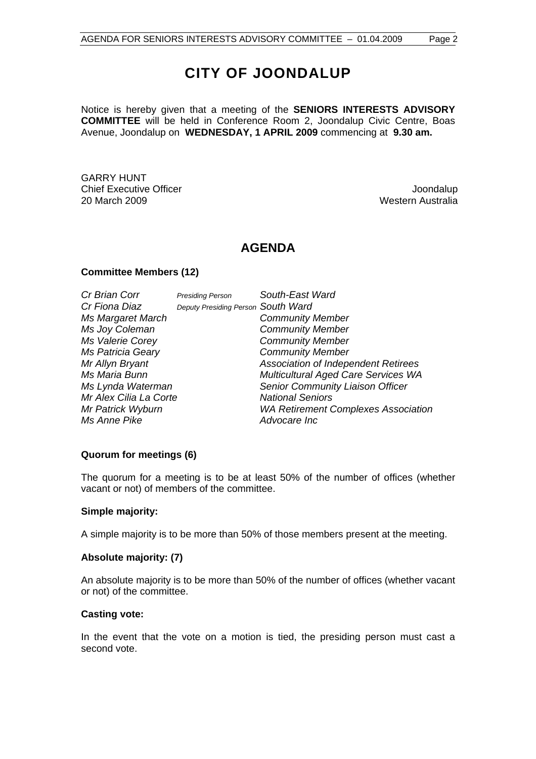# **CITY OF JOONDALUP**

Notice is hereby given that a meeting of the **SENIORS INTERESTS ADVISORY COMMITTEE** will be held in Conference Room 2, Joondalup Civic Centre, Boas Avenue, Joondalup on **WEDNESDAY, 1 APRIL 2009** commencing at **9.30 am.** 

GARRY HUNT Chief Executive Officer **Joondalup** 20 March 2009 Western Australia

# **AGENDA**

#### **Committee Members (12)**

| Cr Brian Corr            | <b>Presiding Person</b>            | South-East Ward                            |
|--------------------------|------------------------------------|--------------------------------------------|
| Cr Fiona Diaz            | Deputy Presiding Person South Ward |                                            |
| Ms Margaret March        |                                    | <b>Community Member</b>                    |
| Ms Joy Coleman           |                                    | <b>Community Member</b>                    |
| Ms Valerie Corey         |                                    | <b>Community Member</b>                    |
| <b>Ms Patricia Geary</b> |                                    | <b>Community Member</b>                    |
| Mr Allyn Bryant          |                                    | Association of Independent Retirees        |
| Ms Maria Bunn            |                                    | Multicultural Aged Care Services WA        |
| Ms Lynda Waterman        |                                    | Senior Community Liaison Officer           |
| Mr Alex Cilia La Corte   |                                    | <b>National Seniors</b>                    |
| Mr Patrick Wyburn        |                                    | <b>WA Retirement Complexes Association</b> |
| Ms Anne Pike             |                                    | Advocare Inc                               |

#### **Quorum for meetings (6)**

The quorum for a meeting is to be at least 50% of the number of offices (whether vacant or not) of members of the committee.

#### **Simple majority:**

A simple majority is to be more than 50% of those members present at the meeting.

#### **Absolute majority: (7)**

An absolute majority is to be more than 50% of the number of offices (whether vacant or not) of the committee.

#### **Casting vote:**

In the event that the vote on a motion is tied, the presiding person must cast a second vote.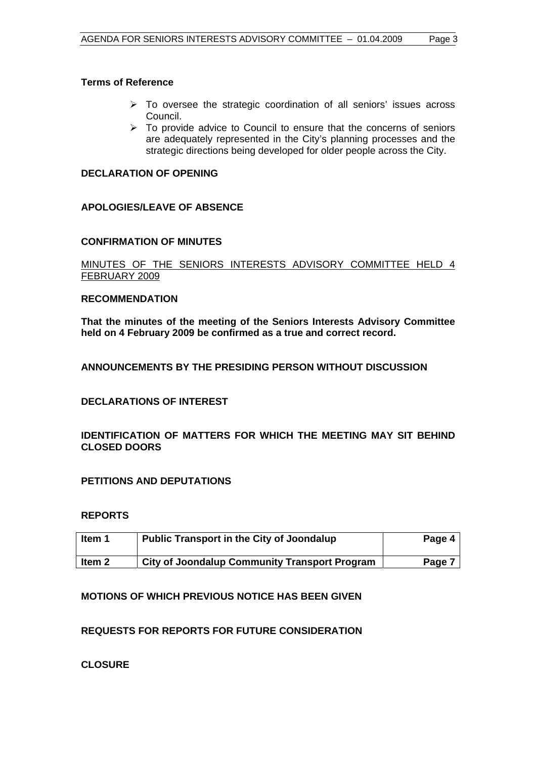#### **Terms of Reference**

- $\triangleright$  To oversee the strategic coordination of all seniors' issues across Council.
- $\triangleright$  To provide advice to Council to ensure that the concerns of seniors are adequately represented in the City's planning processes and the strategic directions being developed for older people across the City.

#### **DECLARATION OF OPENING**

## **APOLOGIES/LEAVE OF ABSENCE**

#### **CONFIRMATION OF MINUTES**

#### MINUTES OF THE SENIORS INTERESTS ADVISORY COMMITTEE HELD 4 FEBRUARY 2009

#### **RECOMMENDATION**

**That the minutes of the meeting of the Seniors Interests Advisory Committee held on 4 February 2009 be confirmed as a true and correct record.** 

## **ANNOUNCEMENTS BY THE PRESIDING PERSON WITHOUT DISCUSSION**

## **DECLARATIONS OF INTEREST**

## **IDENTIFICATION OF MATTERS FOR WHICH THE MEETING MAY SIT BEHIND CLOSED DOORS**

## **PETITIONS AND DEPUTATIONS**

#### **REPORTS**

| ltem 1  | <b>Public Transport in the City of Joondalup</b>     | Page 4 |
|---------|------------------------------------------------------|--------|
| ∣ltem 2 | <b>City of Joondalup Community Transport Program</b> | Page 7 |

## **MOTIONS OF WHICH PREVIOUS NOTICE HAS BEEN GIVEN**

## **REQUESTS FOR REPORTS FOR FUTURE CONSIDERATION**

**CLOSURE**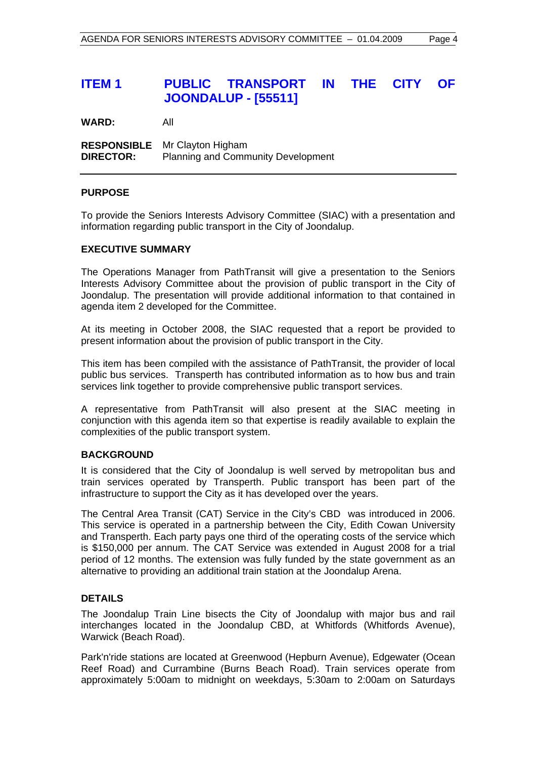# **ITEM 1 PUBLIC TRANSPORT IN THE CITY OF JOONDALUP - [55511]**

**WARD:** All

**RESPONSIBLE** Mr Clayton Higham **DIRECTOR:** Planning and Community Development

#### **PURPOSE**

To provide the Seniors Interests Advisory Committee (SIAC) with a presentation and information regarding public transport in the City of Joondalup.

#### **EXECUTIVE SUMMARY**

The Operations Manager from PathTransit will give a presentation to the Seniors Interests Advisory Committee about the provision of public transport in the City of Joondalup. The presentation will provide additional information to that contained in agenda item 2 developed for the Committee.

At its meeting in October 2008, the SIAC requested that a report be provided to present information about the provision of public transport in the City.

This item has been compiled with the assistance of PathTransit, the provider of local public bus services. Transperth has contributed information as to how bus and train services link together to provide comprehensive public transport services.

A representative from PathTransit will also present at the SIAC meeting in conjunction with this agenda item so that expertise is readily available to explain the complexities of the public transport system.

#### **BACKGROUND**

It is considered that the City of Joondalup is well served by metropolitan bus and train services operated by Transperth. Public transport has been part of the infrastructure to support the City as it has developed over the years.

The Central Area Transit (CAT) Service in the City's CBD was introduced in 2006. This service is operated in a partnership between the City, Edith Cowan University and Transperth. Each party pays one third of the operating costs of the service which is \$150,000 per annum. The CAT Service was extended in August 2008 for a trial period of 12 months. The extension was fully funded by the state government as an alternative to providing an additional train station at the Joondalup Arena.

#### **DETAILS**

The Joondalup Train Line bisects the City of Joondalup with major bus and rail interchanges located in the Joondalup CBD, at Whitfords (Whitfords Avenue), Warwick (Beach Road).

Park'n'ride stations are located at Greenwood (Hepburn Avenue), Edgewater (Ocean Reef Road) and Currambine (Burns Beach Road). Train services operate from approximately 5:00am to midnight on weekdays, 5:30am to 2:00am on Saturdays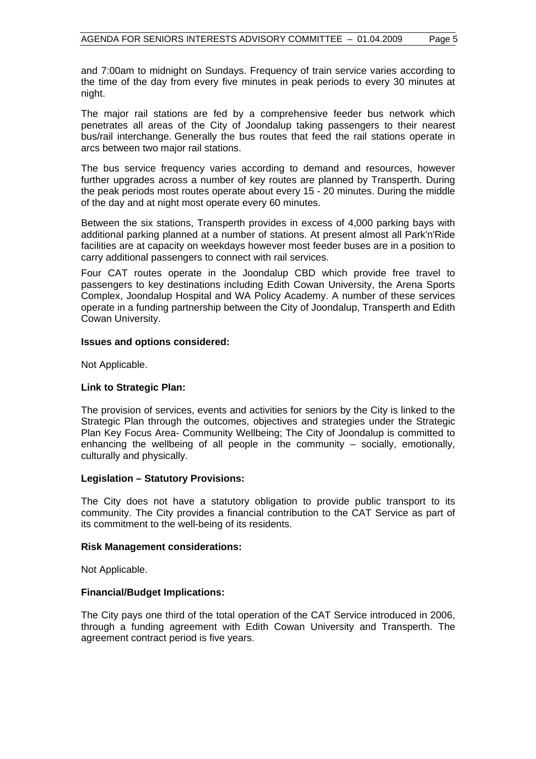and 7:00am to midnight on Sundays. Frequency of train service varies according to the time of the day from every five minutes in peak periods to every 30 minutes at night.

The major rail stations are fed by a comprehensive feeder bus network which penetrates all areas of the City of Joondalup taking passengers to their nearest bus/rail interchange. Generally the bus routes that feed the rail stations operate in arcs between two major rail stations.

The bus service frequency varies according to demand and resources, however further upgrades across a number of key routes are planned by Transperth. During the peak periods most routes operate about every 15 - 20 minutes. During the middle of the day and at night most operate every 60 minutes.

Between the six stations, Transperth provides in excess of 4,000 parking bays with additional parking planned at a number of stations. At present almost all Park'n'Ride facilities are at capacity on weekdays however most feeder buses are in a position to carry additional passengers to connect with rail services.

Four CAT routes operate in the Joondalup CBD which provide free travel to passengers to key destinations including Edith Cowan University, the Arena Sports Complex, Joondalup Hospital and WA Policy Academy. A number of these services operate in a funding partnership between the City of Joondalup, Transperth and Edith Cowan University.

#### **Issues and options considered:**

Not Applicable.

#### **Link to Strategic Plan:**

The provision of services, events and activities for seniors by the City is linked to the Strategic Plan through the outcomes, objectives and strategies under the Strategic Plan Key Focus Area- Community Wellbeing; The City of Joondalup is committed to enhancing the wellbeing of all people in the community – socially, emotionally, culturally and physically.

#### **Legislation – Statutory Provisions:**

The City does not have a statutory obligation to provide public transport to its community. The City provides a financial contribution to the CAT Service as part of its commitment to the well-being of its residents.

#### **Risk Management considerations:**

Not Applicable.

#### **Financial/Budget Implications:**

The City pays one third of the total operation of the CAT Service introduced in 2006, through a funding agreement with Edith Cowan University and Transperth. The agreement contract period is five years.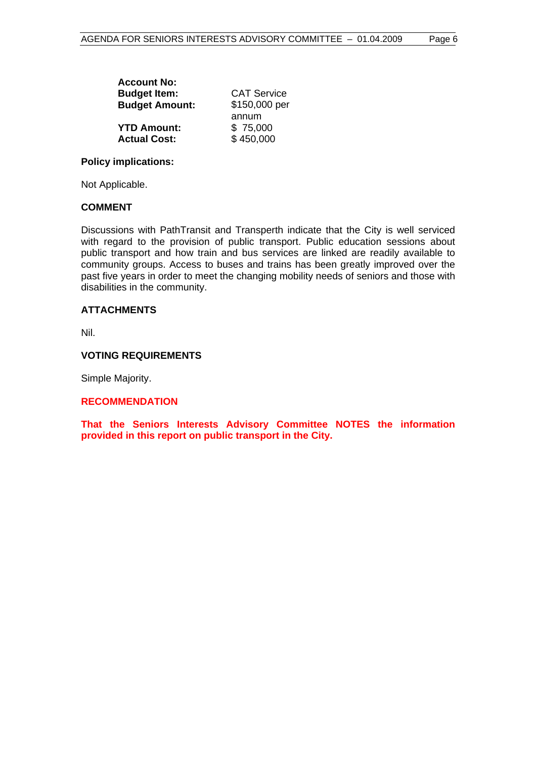| <b>Account No:</b>    |                    |  |  |
|-----------------------|--------------------|--|--|
| <b>Budget Item:</b>   | <b>CAT Service</b> |  |  |
| <b>Budget Amount:</b> | \$150,000 per      |  |  |
|                       | annum              |  |  |
| <b>YTD Amount:</b>    | \$75,000           |  |  |
| <b>Actual Cost:</b>   | \$450,000          |  |  |

#### **Policy implications:**

Not Applicable.

#### **COMMENT**

Discussions with PathTransit and Transperth indicate that the City is well serviced with regard to the provision of public transport. Public education sessions about public transport and how train and bus services are linked are readily available to community groups. Access to buses and trains has been greatly improved over the past five years in order to meet the changing mobility needs of seniors and those with disabilities in the community.

#### **ATTACHMENTS**

Nil.

#### **VOTING REQUIREMENTS**

Simple Majority.

#### **RECOMMENDATION**

**That the Seniors Interests Advisory Committee NOTES the information provided in this report on public transport in the City.**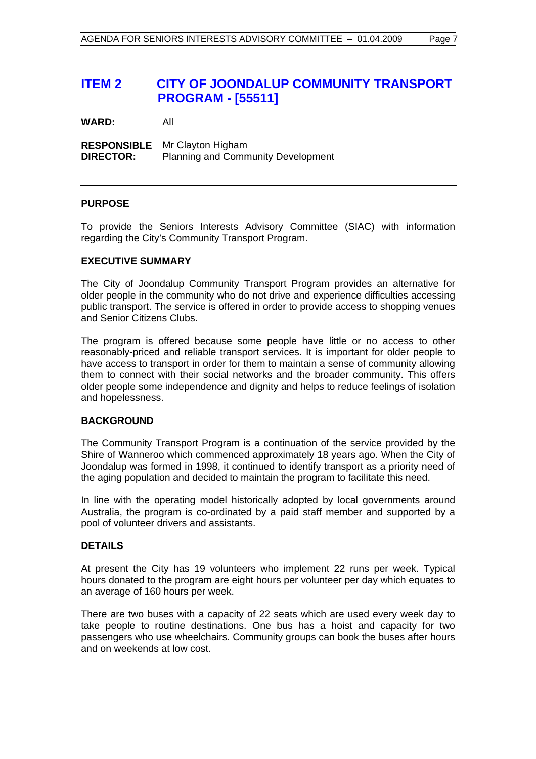# **ITEM 2 CITY OF JOONDALUP COMMUNITY TRANSPORT PROGRAM - [55511]**

**WARD:** All

**RESPONSIBLE** Mr Clayton Higham **DIRECTOR:** Planning and Community Development

#### **PURPOSE**

To provide the Seniors Interests Advisory Committee (SIAC) with information regarding the City's Community Transport Program.

#### **EXECUTIVE SUMMARY**

The City of Joondalup Community Transport Program provides an alternative for older people in the community who do not drive and experience difficulties accessing public transport. The service is offered in order to provide access to shopping venues and Senior Citizens Clubs.

The program is offered because some people have little or no access to other reasonably-priced and reliable transport services. It is important for older people to have access to transport in order for them to maintain a sense of community allowing them to connect with their social networks and the broader community. This offers older people some independence and dignity and helps to reduce feelings of isolation and hopelessness.

#### **BACKGROUND**

The Community Transport Program is a continuation of the service provided by the Shire of Wanneroo which commenced approximately 18 years ago. When the City of Joondalup was formed in 1998, it continued to identify transport as a priority need of the aging population and decided to maintain the program to facilitate this need.

In line with the operating model historically adopted by local governments around Australia, the program is co-ordinated by a paid staff member and supported by a pool of volunteer drivers and assistants.

#### **DETAILS**

At present the City has 19 volunteers who implement 22 runs per week. Typical hours donated to the program are eight hours per volunteer per day which equates to an average of 160 hours per week.

There are two buses with a capacity of 22 seats which are used every week day to take people to routine destinations. One bus has a hoist and capacity for two passengers who use wheelchairs. Community groups can book the buses after hours and on weekends at low cost.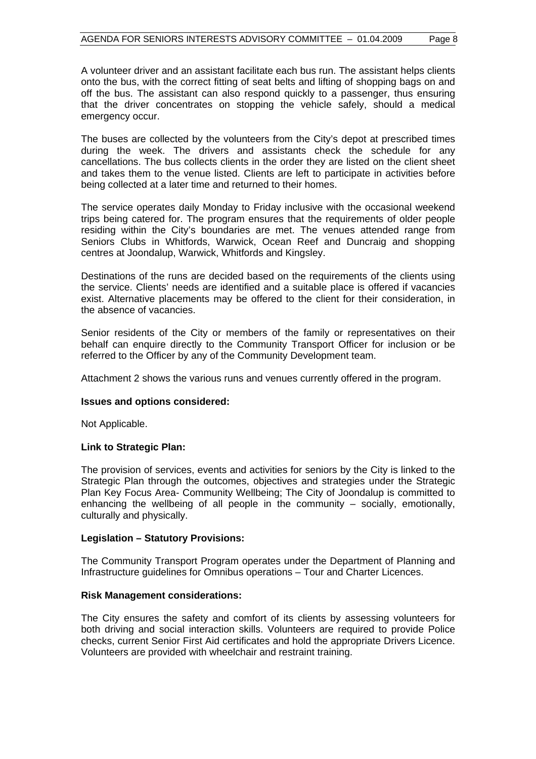A volunteer driver and an assistant facilitate each bus run. The assistant helps clients onto the bus, with the correct fitting of seat belts and lifting of shopping bags on and off the bus. The assistant can also respond quickly to a passenger, thus ensuring that the driver concentrates on stopping the vehicle safely, should a medical emergency occur.

The buses are collected by the volunteers from the City's depot at prescribed times during the week. The drivers and assistants check the schedule for any cancellations. The bus collects clients in the order they are listed on the client sheet and takes them to the venue listed. Clients are left to participate in activities before being collected at a later time and returned to their homes.

The service operates daily Monday to Friday inclusive with the occasional weekend trips being catered for. The program ensures that the requirements of older people residing within the City's boundaries are met. The venues attended range from Seniors Clubs in Whitfords, Warwick, Ocean Reef and Duncraig and shopping centres at Joondalup, Warwick, Whitfords and Kingsley.

Destinations of the runs are decided based on the requirements of the clients using the service. Clients' needs are identified and a suitable place is offered if vacancies exist. Alternative placements may be offered to the client for their consideration, in the absence of vacancies.

Senior residents of the City or members of the family or representatives on their behalf can enquire directly to the Community Transport Officer for inclusion or be referred to the Officer by any of the Community Development team.

Attachment 2 shows the various runs and venues currently offered in the program.

#### **Issues and options considered:**

Not Applicable.

#### **Link to Strategic Plan:**

The provision of services, events and activities for seniors by the City is linked to the Strategic Plan through the outcomes, objectives and strategies under the Strategic Plan Key Focus Area- Community Wellbeing; The City of Joondalup is committed to enhancing the wellbeing of all people in the community  $-$  socially, emotionally, culturally and physically.

#### **Legislation – Statutory Provisions:**

The Community Transport Program operates under the Department of Planning and Infrastructure guidelines for Omnibus operations – Tour and Charter Licences.

## **Risk Management considerations:**

The City ensures the safety and comfort of its clients by assessing volunteers for both driving and social interaction skills. Volunteers are required to provide Police checks, current Senior First Aid certificates and hold the appropriate Drivers Licence. Volunteers are provided with wheelchair and restraint training.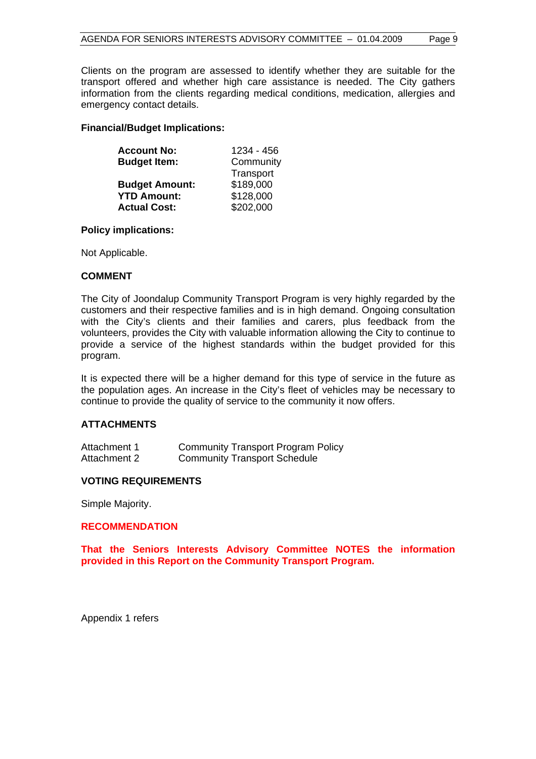Clients on the program are assessed to identify whether they are suitable for the transport offered and whether high care assistance is needed. The City gathers information from the clients regarding medical conditions, medication, allergies and emergency contact details.

#### **Financial/Budget Implications:**

| <b>Account No:</b>    | 1234 - 456 |  |
|-----------------------|------------|--|
| <b>Budget Item:</b>   | Community  |  |
|                       | Transport  |  |
| <b>Budget Amount:</b> | \$189,000  |  |
| <b>YTD Amount:</b>    | \$128,000  |  |
| <b>Actual Cost:</b>   | \$202,000  |  |

#### **Policy implications:**

Not Applicable.

#### **COMMENT**

The City of Joondalup Community Transport Program is very highly regarded by the customers and their respective families and is in high demand. Ongoing consultation with the City's clients and their families and carers, plus feedback from the volunteers, provides the City with valuable information allowing the City to continue to provide a service of the highest standards within the budget provided for this program.

It is expected there will be a higher demand for this type of service in the future as the population ages. An increase in the City's fleet of vehicles may be necessary to continue to provide the quality of service to the community it now offers.

#### **ATTACHMENTS**

| Attachment 1 | <b>Community Transport Program Policy</b> |
|--------------|-------------------------------------------|
| Attachment 2 | <b>Community Transport Schedule</b>       |

#### **VOTING REQUIREMENTS**

Simple Majority.

#### **RECOMMENDATION**

**That the Seniors Interests Advisory Committee NOTES the information provided in this Report on the Community Transport Program.** 

Appendix 1 refers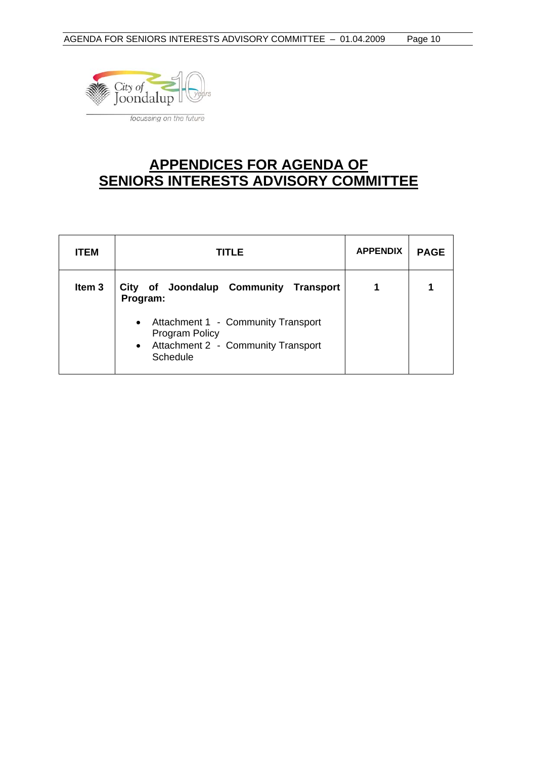

# **APPENDICES FOR AGENDA OF SENIORS INTERESTS ADVISORY COMMITTEE**

| <b>ITEM</b>       | TITLE                                                                                                             | <b>APPENDIX</b> | <b>PAGE</b> |
|-------------------|-------------------------------------------------------------------------------------------------------------------|-----------------|-------------|
| Item <sub>3</sub> | City of Joondalup Community Transport<br>Program:                                                                 |                 |             |
|                   | • Attachment 1 - Community Transport<br><b>Program Policy</b><br>• Attachment 2 - Community Transport<br>Schedule |                 |             |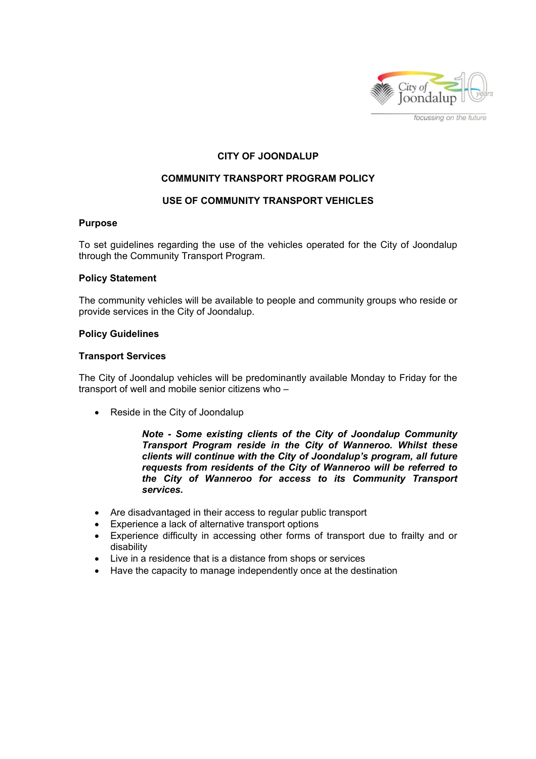

focussing on the future

## **CITY OF JOONDALUP**

#### **COMMUNITY TRANSPORT PROGRAM POLICY**

#### **USE OF COMMUNITY TRANSPORT VEHICLES**

#### **Purpose**

To set guidelines regarding the use of the vehicles operated for the City of Joondalup through the Community Transport Program.

#### **Policy Statement**

The community vehicles will be available to people and community groups who reside or provide services in the City of Joondalup.

#### **Policy Guidelines**

#### **Transport Services**

The City of Joondalup vehicles will be predominantly available Monday to Friday for the transport of well and mobile senior citizens who –

• Reside in the City of Joondalup

*Note - Some existing clients of the City of Joondalup Community Transport Program reside in the City of Wanneroo. Whilst these clients will continue with the City of Joondalup's program, all future requests from residents of the City of Wanneroo will be referred to the City of Wanneroo for access to its Community Transport services.* 

- Are disadvantaged in their access to regular public transport
- Experience a lack of alternative transport options
- Experience difficulty in accessing other forms of transport due to frailty and or disability
- Live in a residence that is a distance from shops or services
- Have the capacity to manage independently once at the destination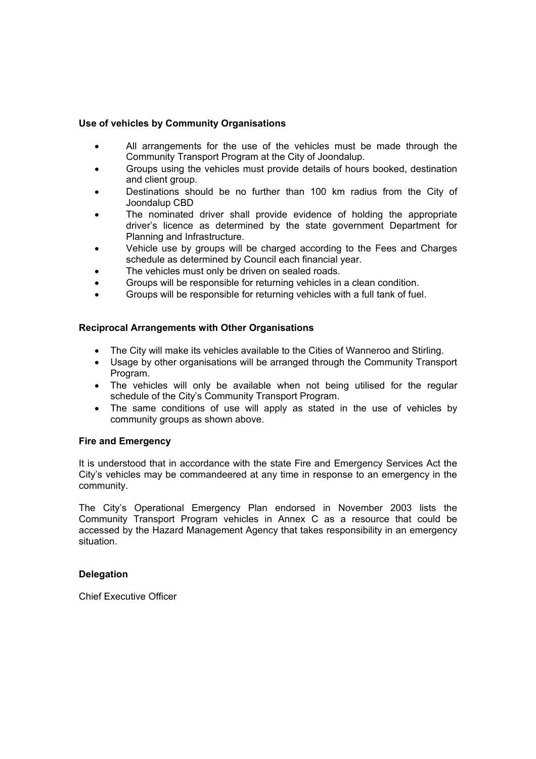#### **Use of vehicles by Community Organisations**

- All arrangements for the use of the vehicles must be made through the Community Transport Program at the City of Joondalup.
- Groups using the vehicles must provide details of hours booked, destination and client group.
- Destinations should be no further than 100 km radius from the City of Joondalup CBD
- The nominated driver shall provide evidence of holding the appropriate driver's licence as determined by the state government Department for Planning and Infrastructure.
- Vehicle use by groups will be charged according to the Fees and Charges schedule as determined by Council each financial year.
- The vehicles must only be driven on sealed roads.
- Groups will be responsible for returning vehicles in a clean condition.
- Groups will be responsible for returning vehicles with a full tank of fuel.

#### **Reciprocal Arrangements with Other Organisations**

- The City will make its vehicles available to the Cities of Wanneroo and Stirling.
- Usage by other organisations will be arranged through the Community Transport Program.
- The vehicles will only be available when not being utilised for the regular schedule of the City's Community Transport Program.
- The same conditions of use will apply as stated in the use of vehicles by community groups as shown above.

#### **Fire and Emergency**

It is understood that in accordance with the state Fire and Emergency Services Act the City's vehicles may be commandeered at any time in response to an emergency in the community.

The City's Operational Emergency Plan endorsed in November 2003 lists the Community Transport Program vehicles in Annex C as a resource that could be accessed by the Hazard Management Agency that takes responsibility in an emergency situation.

#### **Delegation**

Chief Executive Officer